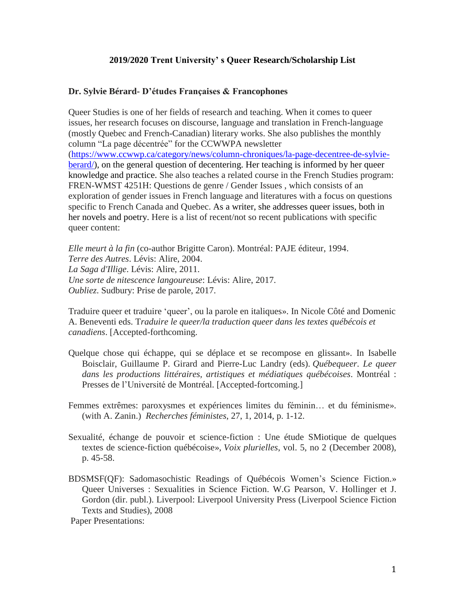### **2019/2020 Trent University' s Queer Research/Scholarship List**

### **Dr. Sylvie Bérard- D'études Françaises & Francophones**

Queer Studies is one of her fields of research and teaching. When it comes to queer issues, her research focuses on discourse, language and translation in French-language (mostly Quebec and French-Canadian) literary works. She also publishes the monthly column "La page décentrée" for the CCWWPA newsletter [\(https://www.ccwwp.ca/category/news/column-chroniques/la-page-decentree-de-sylvie](https://www.ccwwp.ca/category/news/column-chroniques/la-page-decentree-de-sylvie-berard/)[berard/\)](https://www.ccwwp.ca/category/news/column-chroniques/la-page-decentree-de-sylvie-berard/), on the general question of decentering. Her teaching is informed by her queer knowledge and practice. She also teaches a related course in the French Studies program: FREN-WMST 4251H: Questions de genre / Gender Issues , which consists of an exploration of gender issues in French language and literatures with a focus on questions specific to French Canada and Quebec. As a writer, she addresses queer issues, both in her novels and poetry. Here is a list of recent/not so recent publications with specific queer content:

*Elle meurt à la fin* (co-author Brigitte Caron). Montréal: PAJE éditeur, 1994. *Terre des Autres*. Lévis: Alire, 2004. *La Saga d'Illige*. Lévis: Alire, 2011. *Une sorte de nitescence langoureuse*: Lévis: Alire, 2017. *Oubliez*. Sudbury: Prise de parole, 2017.

Traduire queer et traduire 'queer', ou la parole en italiques». In Nicole Côté and Domenic A. Beneventi eds. T*raduire le queer/la traduction queer dans les textes québécois et canadiens*. [Accepted-forthcoming.

- Quelque chose qui échappe, qui se déplace et se recompose en glissant». In Isabelle Boisclair, Guillaume P. Girard and Pierre-Luc Landry (eds). *Québequeer. Le queer dans les productions littéraires, artistiques et médiatiques québécoises*. Montréal : Presses de l'Université de Montréal. [Accepted-fortcoming.]
- Femmes extrêmes: paroxysmes et expériences limites du féminin… et du féminisme». (with A. Zanin.) *Recherches féministes*, 27, 1, 2014, p. 1-12.
- Sexualité, échange de pouvoir et science-fiction : Une étude SMiotique de quelques textes de science-fiction québécoise», *Voix plurielles*, vol. 5, no 2 (December 2008), p. 45-58.
- BDSMSF(QF): Sadomasochistic Readings of Québécois Women's Science Fiction.» Queer Universes : Sexualities in Science Fiction. W.G Pearson, V. Hollinger et J. Gordon (dir. publ.). Liverpool: Liverpool University Press (Liverpool Science Fiction Texts and Studies), 2008

Paper Presentations: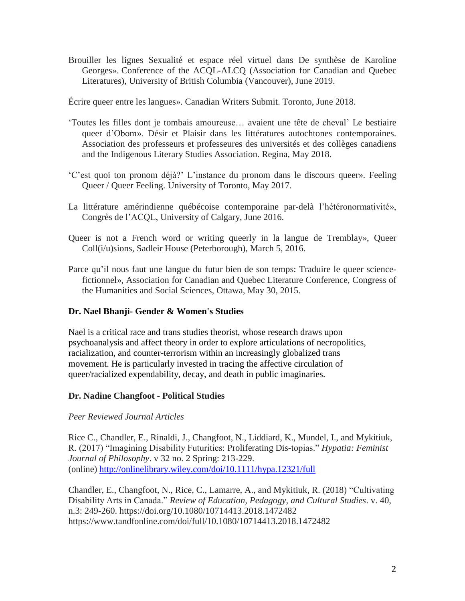Brouiller les lignes Sexualité et espace réel virtuel dans De synthèse de Karoline Georges». Conference of the ACQL-ALCQ (Association for Canadian and Quebec Literatures), University of British Columbia (Vancouver), June 2019.

Écrire queer entre les langues». Canadian Writers Submit. Toronto, June 2018.

- 'Toutes les filles dont je tombais amoureuse… avaient une tête de cheval' Le bestiaire queer d'Obom». Désir et Plaisir dans les littératures autochtones contemporaines. Association des professeurs et professeures des universités et des collèges canadiens and the Indigenous Literary Studies Association. Regina, May 2018.
- 'C'est quoi ton pronom déjà?' L'instance du pronom dans le discours queer». Feeling Queer / Queer Feeling. University of Toronto, May 2017.
- La littérature amérindienne québécoise contemporaine par-delà l'hétéronormativité», Congrès de l'ACQL, University of Calgary, June 2016.
- Queer is not a French word or writing queerly in la langue de Tremblay», Queer Coll(i/u)sions, Sadleir House (Peterborough), March 5, 2016.
- Parce qu'il nous faut une langue du futur bien de son temps: Traduire le queer sciencefictionnel», Association for Canadian and Quebec Literature Conference, Congress of the Humanities and Social Sciences, Ottawa, May 30, 2015.

# **Dr. Nael Bhanji- Gender & Women's Studies**

Nael is a critical race and trans studies theorist, whose research draws upon psychoanalysis and affect theory in order to explore articulations of necropolitics, racialization, and counter-terrorism within an increasingly globalized trans movement. He is particularly invested in tracing the affective circulation of queer/racialized expendability, decay, and death in public imaginaries.

## **Dr. Nadine Changfoot - Political Studies**

## *Peer Reviewed Journal Articles*

Rice C., Chandler, E., Rinaldi, J., Changfoot, N., Liddiard, K., Mundel, I., and Mykitiuk, R. (2017) "Imagining Disability Futurities: Proliferating Dis-topias." *Hypatia: Feminist Journal of Philosophy*. v 32 no. 2 Spring: 213-229. (online) <http://onlinelibrary.wiley.com/doi/10.1111/hypa.12321/full>

Chandler, E., Changfoot, N., Rice, C., Lamarre, A., and Mykitiuk, R. (2018) "Cultivating Disability Arts in Canada." *Review of Education, Pedagogy, and Cultural Studies*. v. 40, n.3: 249-260. https://doi.org/10.1080/10714413.2018.1472482 https://www.tandfonline.com/doi/full/10.1080/10714413.2018.1472482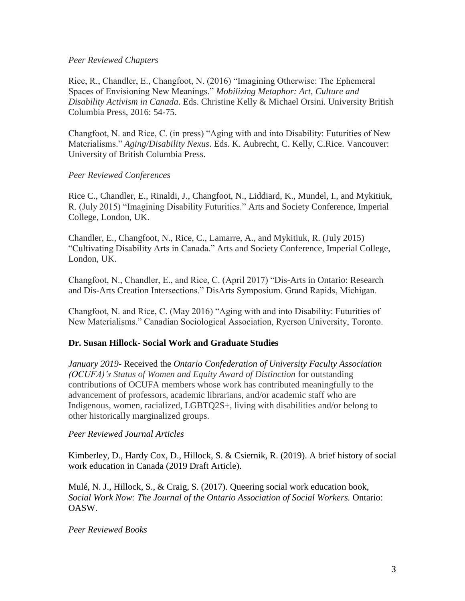### *Peer Reviewed Chapters*

Rice, R., Chandler, E., Changfoot, N. (2016) "Imagining Otherwise: The Ephemeral Spaces of Envisioning New Meanings." *Mobilizing Metaphor: Art, Culture and Disability Activism in Canada*. Eds. Christine Kelly & Michael Orsini. University British Columbia Press, 2016: 54-75.

Changfoot, N. and Rice, C. (in press) "Aging with and into Disability: Futurities of New Materialisms." *Aging/Disability Nexus*. Eds. K. Aubrecht, C. Kelly, C.Rice. Vancouver: University of British Columbia Press.

## *Peer Reviewed Conferences*

Rice C., Chandler, E., Rinaldi, J., Changfoot, N., Liddiard, K., Mundel, I., and Mykitiuk, R. (July 2015) "Imagining Disability Futurities." Arts and Society Conference, Imperial College, London, UK.

Chandler, E., Changfoot, N., Rice, C., Lamarre, A., and Mykitiuk, R. (July 2015) "Cultivating Disability Arts in Canada." Arts and Society Conference, Imperial College, London, UK.

Changfoot, N., Chandler, E., and Rice, C. (April 2017) "Dis-Arts in Ontario: Research and Dis-Arts Creation Intersections." DisArts Symposium. Grand Rapids, Michigan.

Changfoot, N. and Rice, C. (May 2016) "Aging with and into Disability: Futurities of New Materialisms." Canadian Sociological Association, Ryerson University, Toronto.

## **Dr. Susan Hillock- Social Work and Graduate Studies**

*January 2019*- Received the *Ontario Confederation of University Faculty Association (OCUFA)'s Status of Women and Equity Award of Distinction* for outstanding contributions of OCUFA members whose work has contributed meaningfully to the advancement of professors, academic librarians, and/or academic staff who are Indigenous, women, racialized, LGBTQ2S+, living with disabilities and/or belong to other historically marginalized groups.

## *Peer Reviewed Journal Articles*

Kimberley, D., Hardy Cox, D., Hillock, S. & Csiernik, R. (2019). A brief history of social work education in Canada (2019 Draft Article).

Mulé, N. J., Hillock, S., & Craig, S. (2017). Queering social work education book, *Social Work Now: The Journal of the Ontario Association of Social Workers.* Ontario: OASW.

### *Peer Reviewed Books*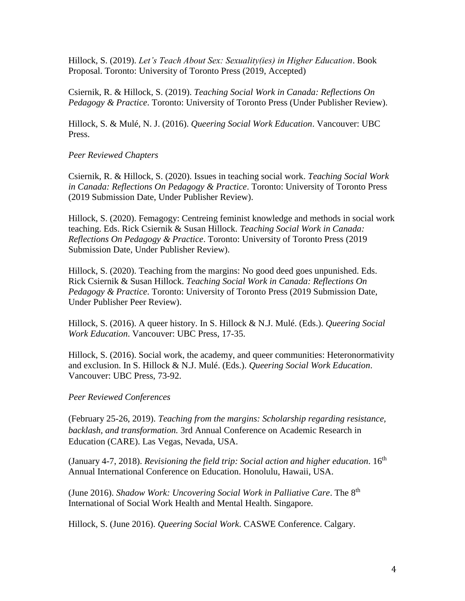Hillock, S. (2019). *Let's Teach About Sex: Sexuality(ies) in Higher Education*. Book Proposal. Toronto: University of Toronto Press (2019, Accepted)

Csiernik, R. & Hillock, S. (2019). *Teaching Social Work in Canada: Reflections On Pedagogy & Practice*. Toronto: University of Toronto Press (Under Publisher Review).

Hillock, S. & Mulé, N. J. (2016). *Queering Social Work Education*. Vancouver: UBC Press.

#### *Peer Reviewed Chapters*

Csiernik, R. & Hillock, S. (2020). Issues in teaching social work. *Teaching Social Work in Canada: Reflections On Pedagogy & Practice*. Toronto: University of Toronto Press (2019 Submission Date, Under Publisher Review).

Hillock, S. (2020). Femagogy: Centreing feminist knowledge and methods in social work teaching. Eds. Rick Csiernik & Susan Hillock. *Teaching Social Work in Canada: Reflections On Pedagogy & Practice*. Toronto: University of Toronto Press (2019 Submission Date, Under Publisher Review).

Hillock, S. (2020). Teaching from the margins: No good deed goes unpunished. Eds. Rick Csiernik & Susan Hillock. *Teaching Social Work in Canada: Reflections On Pedagogy & Practice*. Toronto: University of Toronto Press (2019 Submission Date, Under Publisher Peer Review).

Hillock, S. (2016). A queer history. In S. Hillock & N.J. Mulé. (Eds.). *Queering Social Work Education*. Vancouver: UBC Press, 17-35.

Hillock, S. (2016). Social work, the academy, and queer communities: Heteronormativity and exclusion. In S. Hillock & N.J. Mulé. (Eds.). *Queering Social Work Education*. Vancouver: UBC Press, 73-92.

### *Peer Reviewed Conferences*

(February 25-26, 2019). *Teaching from the margins: Scholarship regarding resistance, backlash, and transformation.* 3rd Annual Conference on Academic Research in Education (CARE). Las Vegas, Nevada, USA.

(January 4-7, 2018). *Revisioning the field trip: Social action and higher education*. 16th Annual International Conference on Education. Honolulu, Hawaii, USA.

(June 2016). *Shadow Work: Uncovering Social Work in Palliative Care*. The 8th International of Social Work Health and Mental Health. Singapore.

Hillock, S. (June 2016). *Queering Social Work*. CASWE Conference. Calgary.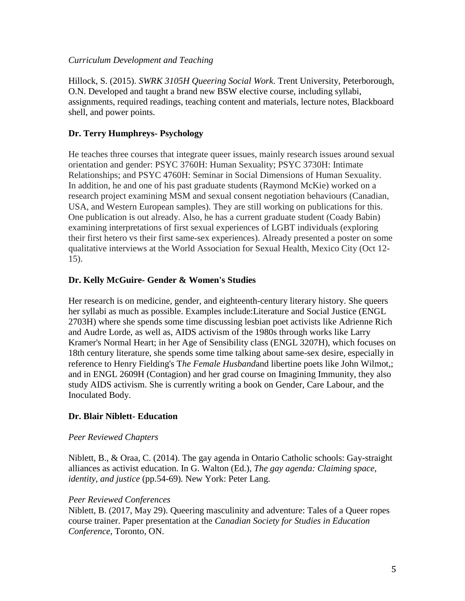### *Curriculum Development and Teaching*

Hillock, S. (2015). *SWRK 3105H Queering Social Work*. Trent University, Peterborough, O.N. Developed and taught a brand new BSW elective course, including syllabi, assignments, required readings, teaching content and materials, lecture notes, Blackboard shell, and power points.

# **Dr. Terry Humphreys- Psychology**

He teaches three courses that integrate queer issues, mainly research issues around sexual orientation and gender: PSYC 3760H: Human Sexuality; PSYC 3730H: Intimate Relationships; and PSYC 4760H: Seminar in Social Dimensions of Human Sexuality. In addition, he and one of his past graduate students (Raymond McKie) worked on a research project examining MSM and sexual consent negotiation behaviours (Canadian, USA, and Western European samples). They are still working on publications for this. One publication is out already. Also, he has a current graduate student (Coady Babin) examining interpretations of first sexual experiences of LGBT individuals (exploring their first hetero vs their first same-sex experiences). Already presented a poster on some qualitative interviews at the World Association for Sexual Health, Mexico City (Oct 12- 15).

## **Dr. Kelly McGuire- Gender & Women's Studies**

Her research is on medicine, gender, and eighteenth-century literary history. She queers her syllabi as much as possible. Examples include:Literature and Social Justice (ENGL 2703H) where she spends some time discussing lesbian poet activists like Adrienne Rich and Audre Lorde, as well as, AIDS activism of the 1980s through works like Larry Kramer's Normal Heart; in her Age of Sensibility class (ENGL 3207H), which focuses on 18th century literature, she spends some time talking about same-sex desire, especially in reference to Henry Fielding's T*he Female Husband*and libertine poets like John Wilmot,; and in ENGL 2609H (Contagion) and her grad course on Imagining Immunity, they also study AIDS activism. She is currently writing a book on Gender, Care Labour, and the Inoculated Body.

## **Dr. Blair Niblett- Education**

### *Peer Reviewed Chapters*

Niblett, B., & Oraa, C. (2014). The gay agenda in Ontario Catholic schools: Gay-straight alliances as activist education. In G. Walton (Ed.), *The gay agenda: Claiming space, identity, and justice* (pp.54-69)*.* New York: Peter Lang.

### *Peer Reviewed Conferences*

Niblett, B. (2017, May 29). Queering masculinity and adventure: Tales of a Queer ropes course trainer. Paper presentation at the *Canadian Society for Studies in Education Conference*, Toronto, ON.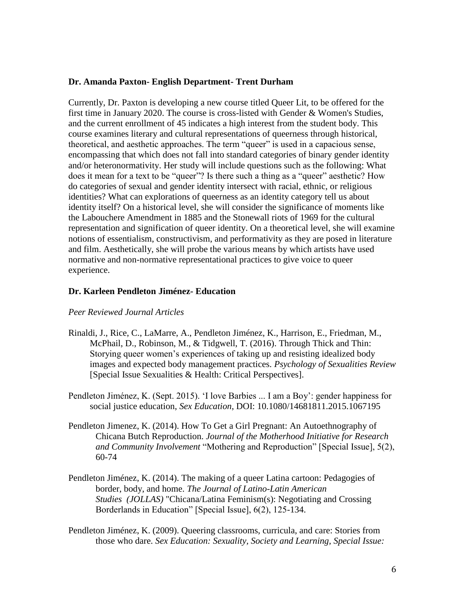### **Dr. Amanda Paxton- English Department- Trent Durham**

Currently, Dr. Paxton is developing a new course titled Queer Lit, to be offered for the first time in January 2020. The course is cross-listed with Gender & Women's Studies, and the current enrollment of 45 indicates a high interest from the student body. This course examines literary and cultural representations of queerness through historical, theoretical, and aesthetic approaches. The term "queer" is used in a capacious sense, encompassing that which does not fall into standard categories of binary gender identity and/or heteronormativity. Her study will include questions such as the following: What does it mean for a text to be "queer"? Is there such a thing as a "queer" aesthetic? How do categories of sexual and gender identity intersect with racial, ethnic, or religious identities? What can explorations of queerness as an identity category tell us about identity itself? On a historical level, she will consider the significance of moments like the Labouchere Amendment in 1885 and the Stonewall riots of 1969 for the cultural representation and signification of queer identity. On a theoretical level, she will examine notions of essentialism, constructivism, and performativity as they are posed in literature and film. Aesthetically, she will probe the various means by which artists have used normative and non-normative representational practices to give voice to queer experience.

### **Dr. Karleen Pendleton Jiménez- Education**

#### *Peer Reviewed Journal Articles*

- Rinaldi, J., Rice, C., LaMarre, A., Pendleton Jiménez, K., Harrison, E., Friedman, M., McPhail, D., Robinson, M., & Tidgwell, T. (2016). Through Thick and Thin: Storying queer women's experiences of taking up and resisting idealized body images and expected body management practices. *Psychology of Sexualities Review* [Special Issue Sexualities & Health: Critical Perspectives].
- Pendleton Jiménez, K. (Sept. 2015). 'I love Barbies ... I am a Boy': gender happiness for social justice education, *Sex Education*, DOI: 10.1080/14681811.2015.1067195
- Pendleton Jimenez, K. (2014). How To Get a Girl Pregnant: An Autoethnography of Chicana Butch Reproduction. *Journal of the Motherhood Initiative for Research and Community Involvement* "Mothering and Reproduction" [Special Issue], 5(2), 60-74
- Pendleton Jiménez, K. (2014). The making of a queer Latina cartoon: Pedagogies of border, body, and home. *The Journal of Latino-Latin American Studies (JOLLAS)* "Chicana/Latina Feminism(s): Negotiating and Crossing Borderlands in Education" [Special Issue], 6(2), 125-134.
- Pendleton Jiménez, K. (2009). Queering classrooms, curricula, and care: Stories from those who dare. *Sex Education: Sexuality, Society and Learning, Special Issue:*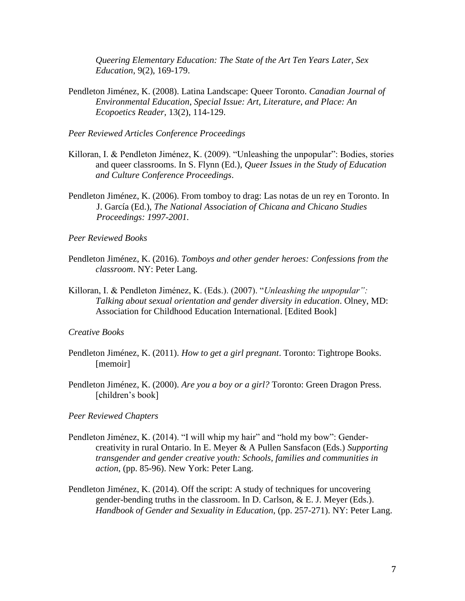*Queering Elementary Education: The State of the Art Ten Years Later, Sex Education*, 9(2), 169-179.

Pendleton Jiménez, K. (2008). Latina Landscape: Queer Toronto. *Canadian Journal of Environmental Education*, *Special Issue: Art, Literature, and Place: An Ecopoetics Reader*, 13(2), 114-129.

*Peer Reviewed Articles Conference Proceedings* 

- Killoran, I. & Pendleton Jiménez, K. (2009). "Unleashing the unpopular": Bodies, stories and queer classrooms. In S. Flynn (Ed.), *Queer Issues in the Study of Education and Culture Conference Proceedings*.
- Pendleton Jiménez, K. (2006). From tomboy to drag: Las notas de un rey en Toronto. In J. García (Ed.), *The National Association of Chicana and Chicano Studies Proceedings: 1997-2001.*

*Peer Reviewed Books*

- Pendleton Jiménez, K. (2016). *Tomboys and other gender heroes: Confessions from the classroom*. NY: Peter Lang.
- Killoran, I. & Pendleton Jiménez, K. (Eds.). (2007). "*Unleashing the unpopular": Talking about sexual orientation and gender diversity in education*. Olney, MD: Association for Childhood Education International. [Edited Book]

*Creative Books*

- Pendleton Jiménez, K. (2011). *How to get a girl pregnant*. Toronto: Tightrope Books. [memoir]
- Pendleton Jiménez, K. (2000). *Are you a boy or a girl?* Toronto: Green Dragon Press. [children's book]

*Peer Reviewed Chapters* 

- Pendleton Jiménez, K. (2014). "I will whip my hair" and "hold my bow": Gendercreativity in rural Ontario. In E. Meyer & A Pullen Sansfacon (Eds.) *Supporting transgender and gender creative youth: Schools, families and communities in action*, (pp. 85-96). New York: Peter Lang.
- Pendleton Jiménez, K. (2014). Off the script: A study of techniques for uncovering gender-bending truths in the classroom. In D. Carlson, & E. J. Meyer (Eds.). *Handbook of Gender and Sexuality in Education*, (pp. 257-271). NY: Peter Lang.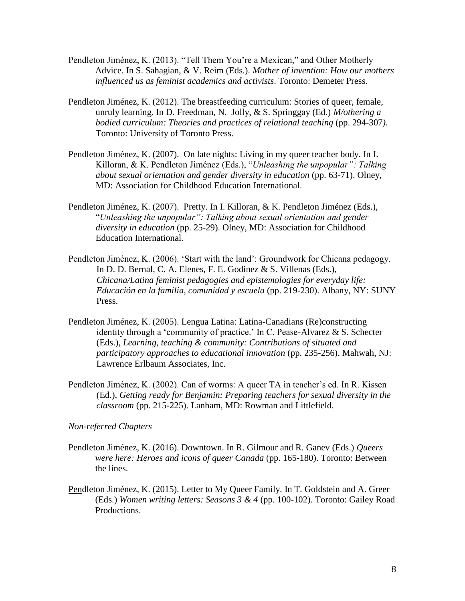- Pendleton Jiménez, K. (2013). "Tell Them You're a Mexican," and Other Motherly Advice. In S. Sahagian, & V. Reim (Eds.). *Mother of invention: How our mothers influenced us as feminist academics and activists*. Toronto: Demeter Press.
- Pendleton Jiménez, K. (2012). The breastfeeding curriculum: Stories of queer, female, unruly learning. In D. Freedman, N. Jolly, & S. Springgay (Ed.) *M/othering a bodied curriculum: Theories and practices of relational teaching (pp. 294-307).* Toronto: University of Toronto Press.
- Pendleton Jiménez, K. (2007). On late nights: Living in my queer teacher body. In I. Killoran, & K. Pendleton Jiménez (Eds.), "*Unleashing the unpopular": Talking about sexual orientation and gender diversity in education* (pp. 63-71). Olney, MD: Association for Childhood Education International.
- Pendleton Jiménez, K. (2007). Pretty. In I. Killoran, & K. Pendleton Jiménez (Eds.), "*Unleashing the unpopular": Talking about sexual orientation and gender diversity in education* (pp. 25-29). Olney, MD: Association for Childhood Education International.
- Pendleton Jiménez, K. (2006). 'Start with the land': Groundwork for Chicana pedagogy. In D. D. Bernal, C. A. Elenes, F. E. Godinez & S. Villenas (Eds.), *Chicana/Latina feminist pedagogies and epistemologies for everyday life: Educación en la familia, comunidad y escuela* (pp. 219-230). Albany, NY: SUNY Press.
- Pendleton Jiménez, K. (2005). Lengua Latina: Latina-Canadians (Re)constructing identity through a 'community of practice.' In C. Pease-Alvarez & S. Schecter (Eds.), *Learning, teaching & community: Contributions of situated and participatory approaches to educational innovation* (pp. 235-256). Mahwah, NJ: Lawrence Erlbaum Associates, Inc.
- Pendleton Jiménez, K. (2002). Can of worms: A queer TA in teacher's ed. In R. Kissen (Ed.), *Getting ready for Benjamin: Preparing teachers for sexual diversity in the classroom* (pp. 215-225). Lanham, MD: Rowman and Littlefield.

#### *Non-referred Chapters*

- Pendleton Jiménez, K. (2016). Downtown. In R. Gilmour and R. Ganev (Eds.) *Queers were here: Heroes and icons of queer Canada* (pp. 165-180). Toronto: Between the lines.
- Pendleton Jiménez, K. (2015). Letter to My Queer Family. In T. Goldstein and A. Greer (Eds.) *Women writing letters: Seasons 3 & 4* (pp. 100-102). Toronto: Gailey Road Productions.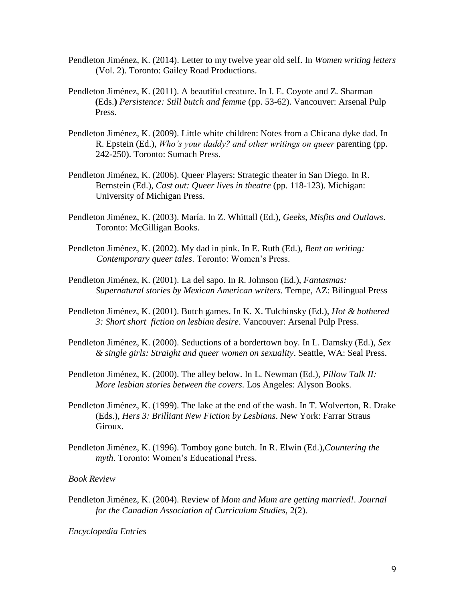- Pendleton Jiménez, K. (2014). Letter to my twelve year old self. In *Women writing letters* (Vol. 2). Toronto: Gailey Road Productions.
- Pendleton Jiménez, K. (2011). A beautiful creature. In I. E. Coyote and Z. Sharman **(**Eds.**)** *Persistence: Still butch and femme* (pp. 53-62). Vancouver: Arsenal Pulp Press.
- Pendleton Jiménez, K. (2009). Little white children: Notes from a Chicana dyke dad. In R. Epstein (Ed.), *Who's your daddy? and other writings on queer* parenting (pp. 242-250). Toronto: Sumach Press.
- Pendleton Jiménez, K. (2006). Queer Players: Strategic theater in San Diego. In R. Bernstein (Ed.), *Cast out: Queer lives in theatre* (pp. 118-123). Michigan: University of Michigan Press.
- Pendleton Jiménez, K. (2003). María. In Z. Whittall (Ed.), *Geeks, Misfits and Outlaws*. Toronto: McGilligan Books.
- Pendleton Jiménez, K. (2002). My dad in pink. In E. Ruth (Ed.), *Bent on writing: Contemporary queer tales*. Toronto: Women's Press.
- Pendleton Jiménez, K. (2001). La del sapo. In R. Johnson (Ed.), *Fantasmas: Supernatural stories by Mexican American writers.* Tempe, AZ: Bilingual Press
- Pendleton Jiménez, K. (2001). Butch games. In K. X. Tulchinsky (Ed.), *Hot & bothered 3: Short short fiction on lesbian desire*. Vancouver: Arsenal Pulp Press.
- Pendleton Jiménez, K. (2000). Seductions of a bordertown boy. In L. Damsky (Ed.), *Sex & single girls: Straight and queer women on sexuality*. Seattle, WA: Seal Press.
- Pendleton Jiménez, K. (2000). The alley below. In L. Newman (Ed.), *Pillow Talk II: More lesbian stories between the covers*. Los Angeles: Alyson Books.
- Pendleton Jiménez, K. (1999). The lake at the end of the wash. In T. Wolverton, R. Drake (Eds.), *Hers 3: Brilliant New Fiction by Lesbians*. New York: Farrar Straus Giroux.
- Pendleton Jiménez, K. (1996). Tomboy gone butch. In R. Elwin (Ed.),*Countering the myth*. Toronto: Women's Educational Press.

#### *Book Review*

Pendleton Jiménez, K. (2004). Review of *Mom and Mum are getting married!*. *Journal for the Canadian Association of Curriculum Studies,* 2(2).

*Encyclopedia Entries*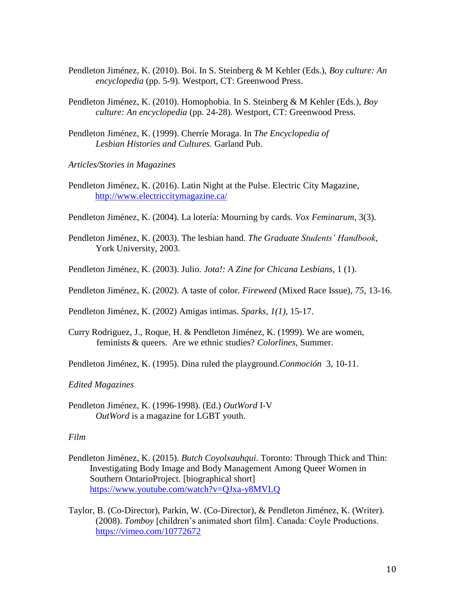- Pendleton Jiménez, K. (2010). Boi. In S. Steinberg & M Kehler (Eds.), *Boy culture: An encyclopedia* (pp. 5-9). Westport, CT: Greenwood Press.
- Pendleton Jiménez, K. (2010). Homophobia. In S. Steinberg & M Kehler (Eds.), *Boy culture: An encyclopedia* (pp. 24-28). Westport, CT: Greenwood Press.
- Pendleton Jiménez, K. (1999). Cherríe Moraga. In *The Encyclopedia of Lesbian Histories and Cultures.* Garland Pub.
- *Articles/Stories in Magazines*
- Pendleton Jiménez, K. (2016). Latin Night at the Pulse. Electric City Magazine, <http://www.electriccitymagazine.ca/>
- Pendleton Jiménez, K. (2004). La lotería: Mourning by cards. *Vox Feminarum*, 3(3).
- Pendleton Jiménez, K. (2003). The lesbian hand. *The Graduate Students' Handbook*, York University, 2003.
- Pendleton Jiménez, K. (2003). Julio. *Jota!: A Zine for Chicana Lesbians*, 1 (1).
- Pendleton Jiménez, K. (2002). A taste of color. *Fireweed* (Mixed Race Issue)*, 75,* 13-16.

Pendleton Jiménez, K. (2002) Amigas intimas. *Sparks, 1(1),* 15-17.

Curry Rodriguez, J., Roque, H. & Pendleton Jiménez, K. (1999). We are women, feminists & queers. Are we ethnic studies? *Colorlines*, Summer.

Pendleton Jiménez, K. (1995). Dina ruled the playground.*Conmoción* 3, 10-11.

#### *Edited Magazines*

Pendleton Jiménez, K. (1996-1998). (Ed.) *OutWord* I-V *OutWord* is a magazine for LGBT youth.

#### *Film*

- Pendleton Jiménez, K. (2015). *Butch Coyolxauhqui*. Toronto: Through Thick and Thin: Investigating Body Image and Body Management Among Queer Women in Southern OntarioProject. [biographical short] <https://www.youtube.com/watch?v=QJxa-y8MVLQ>
- Taylor, B. (Co-Director), Parkin, W. (Co-Director), & Pendleton Jiménez, K. (Writer). (2008). *Tomboy* [children's animated short film]. Canada: Coyle Productions. <https://vimeo.com/10772672>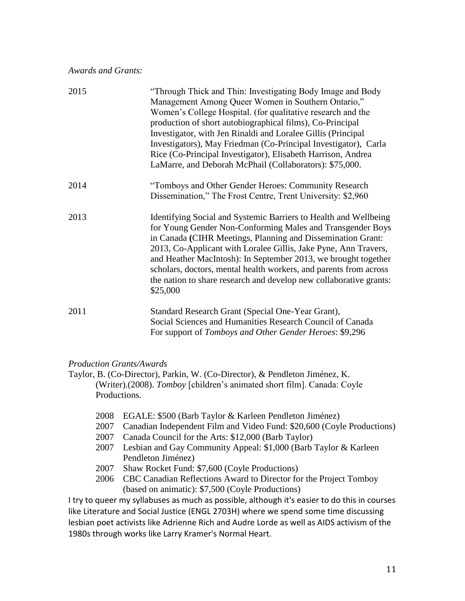*Awards and Grants:*

| 2015 | "Through Thick and Thin: Investigating Body Image and Body<br>Management Among Queer Women in Southern Ontario,"<br>Women's College Hospital. (for qualitative research and the<br>production of short autobiographical films), Co-Principal<br>Investigator, with Jen Rinaldi and Loralee Gillis (Principal<br>Investigators), May Friedman (Co-Principal Investigator), Carla<br>Rice (Co-Principal Investigator), Elisabeth Harrison, Andrea<br>LaMarre, and Deborah McPhail (Collaborators): \$75,000. |
|------|------------------------------------------------------------------------------------------------------------------------------------------------------------------------------------------------------------------------------------------------------------------------------------------------------------------------------------------------------------------------------------------------------------------------------------------------------------------------------------------------------------|
| 2014 | "Tomboys and Other Gender Heroes: Community Research<br>Dissemination," The Frost Centre, Trent University: \$2,960                                                                                                                                                                                                                                                                                                                                                                                        |
| 2013 | Identifying Social and Systemic Barriers to Health and Wellbeing<br>for Young Gender Non-Conforming Males and Transgender Boys<br>in Canada (CIHR Meetings, Planning and Dissemination Grant:<br>2013, Co-Applicant with Loralee Gillis, Jake Pyne, Ann Travers,<br>and Heather MacIntosh): In September 2013, we brought together<br>scholars, doctors, mental health workers, and parents from across<br>the nation to share research and develop new collaborative grants:<br>\$25,000                  |
| 2011 | Standard Research Grant (Special One-Year Grant),<br>Social Sciences and Humanities Research Council of Canada<br>For support of Tomboys and Other Gender Heroes: \$9,296                                                                                                                                                                                                                                                                                                                                  |

## *Production Grants/Awards*

Taylor, B. (Co-Director), Parkin, W. (Co-Director), & Pendleton Jiménez, K. (Writer).(2008). *Tomboy* [children's animated short film]. Canada: Coyle Productions.

- 2008 EGALE: \$500 (Barb Taylor & Karleen Pendleton Jiménez)
- 2007 Canadian Independent Film and Video Fund: \$20,600 (Coyle Productions)
- 2007 Canada Council for the Arts: \$12,000 (Barb Taylor)
- 2007 Lesbian and Gay Community Appeal: \$1,000 (Barb Taylor & Karleen Pendleton Jiménez)
- 2007 Shaw Rocket Fund: \$7,600 (Coyle Productions)
- 2006 CBC Canadian Reflections Award to Director for the Project Tomboy (based on animatic): \$7,500 (Coyle Productions)

I try to queer my syllabuses as much as possible, although it's easier to do this in courses like Literature and Social Justice (ENGL 2703H) where we spend some time discussing lesbian poet activists like Adrienne Rich and Audre Lorde as well as AIDS activism of the 1980s through works like Larry Kramer's Normal Heart.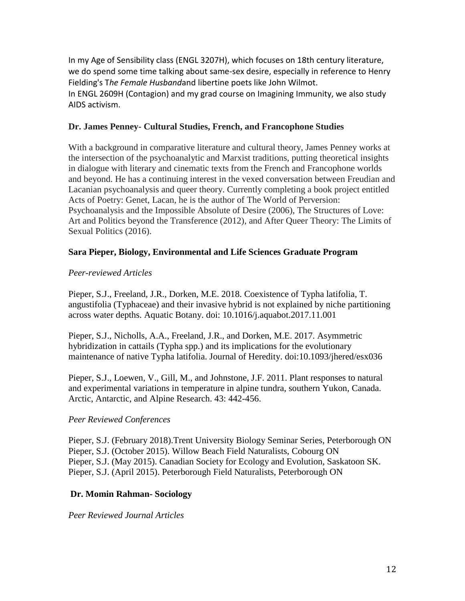In my Age of Sensibility class (ENGL 3207H), which focuses on 18th century literature, we do spend some time talking about same-sex desire, especially in reference to Henry Fielding's T*he Female Husband*and libertine poets like John Wilmot. In ENGL 2609H (Contagion) and my grad course on Imagining Immunity, we also study AIDS activism.

### **Dr. James Penney- Cultural Studies, French, and Francophone Studies**

With a background in comparative literature and cultural theory, James Penney works at the intersection of the psychoanalytic and Marxist traditions, putting theoretical insights in dialogue with literary and cinematic texts from the French and Francophone worlds and beyond. He has a continuing interest in the vexed conversation between Freudian and Lacanian psychoanalysis and queer theory. Currently completing a book project entitled Acts of Poetry: Genet, Lacan, he is the author of The World of Perversion: Psychoanalysis and the Impossible Absolute of Desire (2006), The Structures of Love: Art and Politics beyond the Transference (2012), and After Queer Theory: The Limits of Sexual Politics (2016).

### **Sara Pieper, Biology, Environmental and Life Sciences Graduate Program**

### *Peer-reviewed Articles*

Pieper, S.J., Freeland, J.R., Dorken, M.E. 2018. Coexistence of Typha latifolia, T. angustifolia (Typhaceae) and their invasive hybrid is not explained by niche partitioning across water depths. Aquatic Botany. doi: 10.1016/j.aquabot.2017.11.001

Pieper, S.J., Nicholls, A.A., Freeland, J.R., and Dorken, M.E. 2017. Asymmetric hybridization in cattails (Typha spp.) and its implications for the evolutionary maintenance of native Typha latifolia. Journal of Heredity. doi:10.1093/jhered/esx036

Pieper, S.J., Loewen, V., Gill, M., and Johnstone, J.F. 2011. Plant responses to natural and experimental variations in temperature in alpine tundra, southern Yukon, Canada. Arctic, Antarctic, and Alpine Research. 43: 442-456.

### *Peer Reviewed Conferences*

Pieper, S.J. (February 2018).Trent University Biology Seminar Series, Peterborough ON Pieper, S.J. (October 2015). Willow Beach Field Naturalists, Cobourg ON Pieper, S.J. (May 2015). Canadian Society for Ecology and Evolution, Saskatoon SK. Pieper, S.J. (April 2015). Peterborough Field Naturalists, Peterborough ON

### **Dr. Momin Rahman- Sociology**

*Peer Reviewed Journal Articles*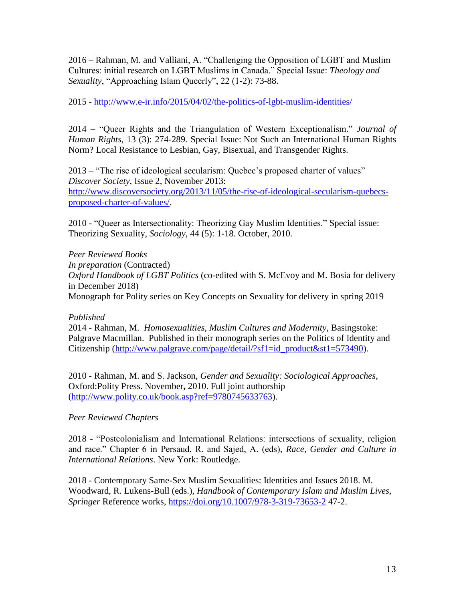2016 – Rahman, M. and Valliani, A. "Challenging the Opposition of LGBT and Muslim Cultures: initial research on LGBT Muslims in Canada." Special Issue: *Theology and Sexuality*, "Approaching Islam Queerly", 22 (1-2): 73-88.

2015 - <http://www.e-ir.info/2015/04/02/the-politics-of-lgbt-muslim-identities/>

2014 – "Queer Rights and the Triangulation of Western Exceptionalism." *Journal of Human Rights*, 13 (3): 274-289. Special Issue: Not Such an International Human Rights Norm? Local Resistance to Lesbian, Gay, Bisexual, and Transgender Rights.

2013 – "The rise of ideological secularism: Quebec's proposed charter of values" *Discover Society*, Issue 2, November 2013: [http://www.discoversociety.org/2013/11/05/the-rise-of-ideological-secularism-quebecs](http://www.discoversociety.org/2013/11/05/the-rise-of-ideological-secularism-quebecs-proposed-charter-of-values/)[proposed-charter-of-values/.](http://www.discoversociety.org/2013/11/05/the-rise-of-ideological-secularism-quebecs-proposed-charter-of-values/)

2010 - "Queer as Intersectionality: Theorizing Gay Muslim Identities." Special issue: Theorizing Sexuality, *Sociology*, 44 (5): 1-18. October, 2010.

*Peer Reviewed Books In preparation* (Contracted) *Oxford Handbook of LGBT Politics* (co-edited with S. McEvoy and M. Bosia for delivery in December 2018) Monograph for Polity series on Key Concepts on Sexuality for delivery in spring 2019

### *Published*

2014 - Rahman, M. *Homosexualities, Muslim Cultures and Modernity*, Basingstoke: Palgrave Macmillan. Published in their monograph series on the Politics of Identity and Citizenship [\(http://www.palgrave.com/page/detail/?sf1=id\\_product&st1=573490\)](http://www.palgrave.com/page/detail/?sf1=id_product&st1=573490).

2010 - Rahman, M. and S. Jackson, *Gender and Sexuality: Sociological Approaches*, Oxford:Polity Press. November**,** 2010. Full joint authorship [\(http://www.polity.co.uk/book.asp?ref=9780745633763\)](http://www.polity.co.uk/book.asp?ref=9780745633763).

## *Peer Reviewed Chapters*

2018 - "Postcolonialism and International Relations: intersections of sexuality, religion and race." Chapter 6 in Persaud, R. and Sajed, A. (eds), *Race, Gender and Culture in International Relations*. New York: Routledge.

2018 - Contemporary Same-Sex Muslim Sexualities: Identities and Issues 2018. M. Woodward, R. Lukens-Bull (eds.), *Handbook of Contemporary Islam and Muslim Lives, Springer* Reference works,<https://doi.org/10.1007/978-3-319-73653-2> 47-2.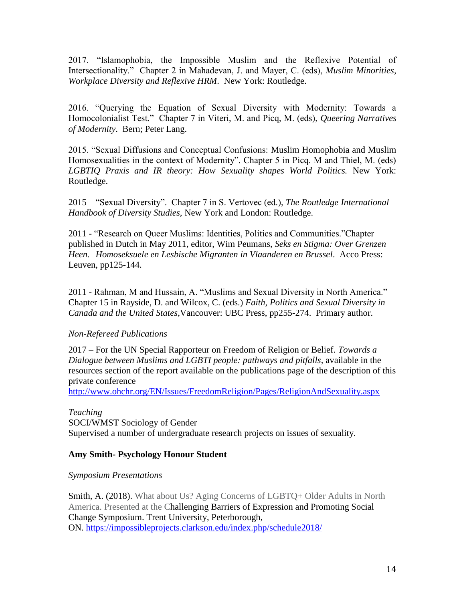2017. "Islamophobia, the Impossible Muslim and the Reflexive Potential of Intersectionality." Chapter 2 in Mahadevan, J. and Mayer, C. (eds), *Muslim Minorities, Workplace Diversity and Reflexive HRM*. New York: Routledge.

2016. "Querying the Equation of Sexual Diversity with Modernity: Towards a Homocolonialist Test." Chapter 7 in Viteri, M. and Picq, M. (eds), *Queering Narratives of Modernity*. Bern; Peter Lang.

2015. "Sexual Diffusions and Conceptual Confusions: Muslim Homophobia and Muslim Homosexualities in the context of Modernity". Chapter 5 in Picq. M and Thiel, M. (eds) *LGBTIQ Praxis and IR theory: How Sexuality shapes World Politics.* New York: Routledge.

2015 – "Sexual Diversity". Chapter 7 in S. Vertovec (ed.), *The Routledge International Handbook of Diversity Studies,* New York and London: Routledge.

2011 - "Research on Queer Muslims: Identities, Politics and Communities."Chapter published in Dutch in May 2011, editor, Wim Peumans, *Seks en Stigma: Over Grenzen Heen. Homoseksuele en Lesbische Migranten in Vlaanderen en Brussel*. Acco Press: Leuven, pp125-144.

2011 - Rahman, M and Hussain, A. "Muslims and Sexual Diversity in North America." Chapter 15 in Rayside, D. and Wilcox, C. (eds.) *Faith, Politics and Sexual Diversity in Canada and the United States*,Vancouver: UBC Press, pp255-274. Primary author.

## *Non-Refereed Publications*

2017 – For the UN Special Rapporteur on Freedom of Religion or Belief. *Towards a Dialogue between Muslims and LGBTI people: pathways and pitfalls, available in the* resources section of the report available on the publications page of the description of this private conference

<http://www.ohchr.org/EN/Issues/FreedomReligion/Pages/ReligionAndSexuality.aspx>

### *Teaching*

SOCI/WMST Sociology of Gender Supervised a number of undergraduate research projects on issues of sexuality.

## **Amy Smith- Psychology Honour Student**

*Symposium Presentations*

Smith, A. (2018). What about Us? Aging Concerns of LGBTQ+ Older Adults in North America. Presented at the Challenging Barriers of Expression and Promoting Social Change Symposium. Trent University, Peterborough, ON. <https://impossibleprojects.clarkson.edu/index.php/schedule2018/>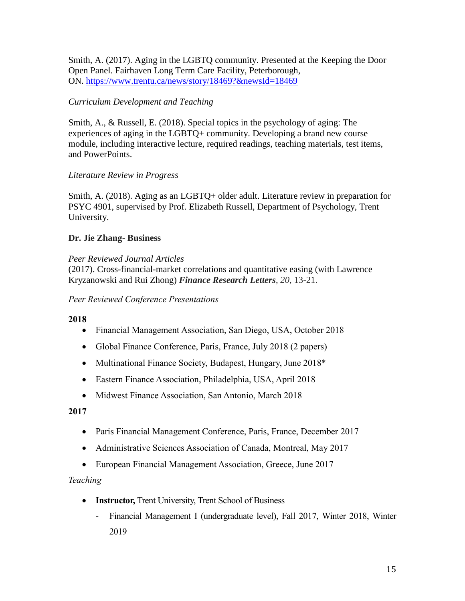Smith, A. (2017). Aging in the LGBTQ community. Presented at the Keeping the Door Open Panel. Fairhaven Long Term Care Facility, Peterborough, ON. <https://www.trentu.ca/news/story/18469?&newsId=18469>

# *Curriculum Development and Teaching*

Smith, A., & Russell, E. (2018). Special topics in the psychology of aging: The experiences of aging in the LGBTQ+ community. Developing a brand new course module, including interactive lecture, required readings, teaching materials, test items, and PowerPoints.

# *Literature Review in Progress*

Smith, A. (2018). Aging as an LGBTQ+ older adult. Literature review in preparation for PSYC 4901, supervised by Prof. Elizabeth Russell, Department of Psychology, Trent University.

# **Dr. Jie Zhang- Business**

# *Peer Reviewed Journal Articles*

(2017). Cross-financial-market correlations and quantitative easing (with Lawrence Kryzanowski and Rui Zhong) *Finance Research Letters*, *20*, 13-21.

### *Peer Reviewed Conference Presentations*

## **2018**

- Financial Management Association, San Diego, USA, October 2018
- Global Finance Conference, Paris, France, July 2018 (2 papers)
- Multinational Finance Society, Budapest, Hungary, June 2018\*
- Eastern Finance Association, Philadelphia, USA, April 2018
- Midwest Finance Association, San Antonio, March 2018

## **2017**

- Paris Financial Management Conference, Paris, France, December 2017
- Administrative Sciences Association of Canada, Montreal, May 2017
- European Financial Management Association, Greece, June 2017

## *Teaching*

- **Instructor, Trent University, Trent School of Business** 
	- Financial Management I (undergraduate level), Fall 2017, Winter 2018, Winter 2019